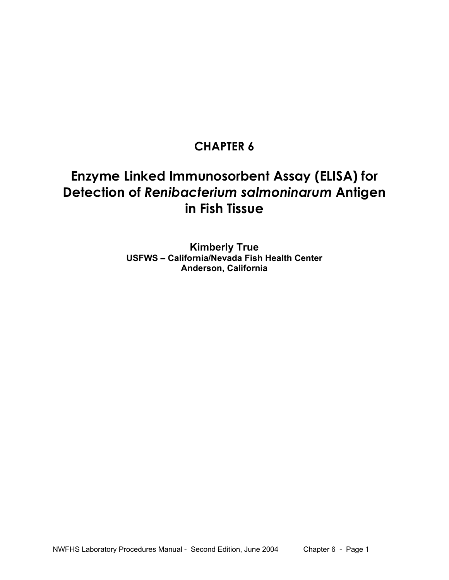# **CHAPTER 6**

# **Enzyme Linked Immunosorbent Assay (ELISA) for Detection of** *Renibacterium salmoninarum* **Antigen in Fish Tissue**

**Kimberly True USFWS – California/Nevada Fish Health Center Anderson, California**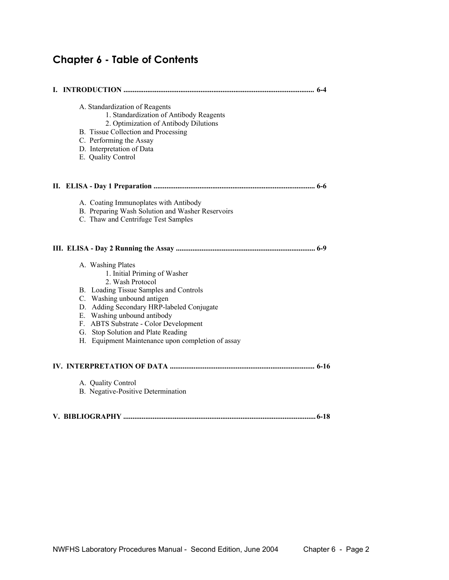# **Chapter 6 - Table of Contents**

| A. Standardization of Reagents<br>1. Standardization of Antibody Reagents<br>2. Optimization of Antibody Dilutions<br>B. Tissue Collection and Processing<br>C. Performing the Assay<br>D. Interpretation of Data<br>E. Quality Control |
|-----------------------------------------------------------------------------------------------------------------------------------------------------------------------------------------------------------------------------------------|
|                                                                                                                                                                                                                                         |
| A. Coating Immunoplates with Antibody<br>B. Preparing Wash Solution and Washer Reservoirs<br>C. Thaw and Centrifuge Test Samples                                                                                                        |
| A. Washing Plates<br>1. Initial Priming of Washer<br>2. Wash Protocol                                                                                                                                                                   |
| B. Loading Tissue Samples and Controls<br>C. Washing unbound antigen<br>D. Adding Secondary HRP-labeled Conjugate<br>E. Washing unbound antibody<br>F. ABTS Substrate - Color Development                                               |
| G. Stop Solution and Plate Reading<br>H. Equipment Maintenance upon completion of assay                                                                                                                                                 |
|                                                                                                                                                                                                                                         |
| A. Quality Control<br>B. Negative-Positive Determination                                                                                                                                                                                |
|                                                                                                                                                                                                                                         |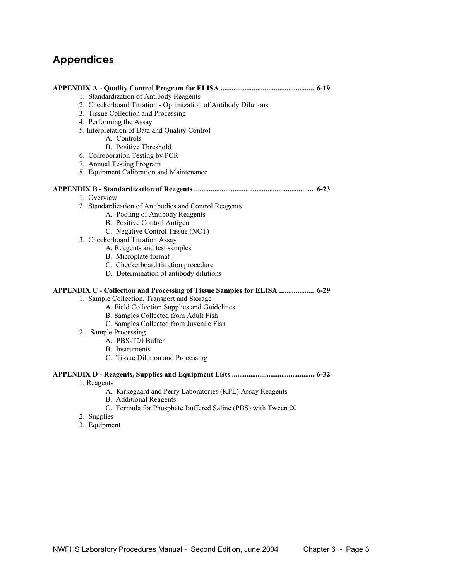# **Appendices**

| 1. Standardization of Antibody Reagents                                  |  |
|--------------------------------------------------------------------------|--|
| 2. Checkerboard Titration - Optimization of Antibody Dilutions           |  |
| 3. Tissue Collection and Processing                                      |  |
| 4. Performing the Assay                                                  |  |
| 5. Interpretation of Data and Quality Control                            |  |
| A. Controls                                                              |  |
| <b>B.</b> Positive Threshold                                             |  |
| 6. Corroboration Testing by PCR                                          |  |
| 7. Annual Testing Program                                                |  |
| 8. Equipment Calibration and Maintenance                                 |  |
|                                                                          |  |
| 1. Overview                                                              |  |
| 2. Standardization of Antibodies and Control Reagents                    |  |
| A. Pooling of Antibody Reagents                                          |  |
| B. Positive Control Antigen                                              |  |
| C. Negative Control Tissue (NCT)                                         |  |
| 3. Checkerboard Titration Assay                                          |  |
| A. Reagents and test samples                                             |  |
| B. Microplate format                                                     |  |
| C. Checkerboard titration procedure                                      |  |
| D. Determination of antibody dilutions                                   |  |
| APPENDIX C - Collection and Processing of Tissue Samples for ELISA  6-29 |  |
| 1. Sample Collection, Transport and Storage                              |  |
| A. Field Collection Supplies and Guidelines                              |  |
| B. Samples Collected from Adult Fish                                     |  |
| C. Samples Collected from Juvenile Fish                                  |  |
| 2. Sample Processing                                                     |  |
| A. PBS-T20 Buffer                                                        |  |
| <b>B.</b> Instruments                                                    |  |
| C. Tissue Dilution and Processing                                        |  |
|                                                                          |  |
| 1. Reagents                                                              |  |
| A. Kirkegaard and Perry Laboratories (KPL) Assay Reagents                |  |
| <b>B.</b> Additional Reagents                                            |  |
| C. Formula for Phosphate Buffered Saline (PBS) with Tween 20             |  |
| 2. Supplies                                                              |  |
| 3. Equipment                                                             |  |
|                                                                          |  |
|                                                                          |  |
|                                                                          |  |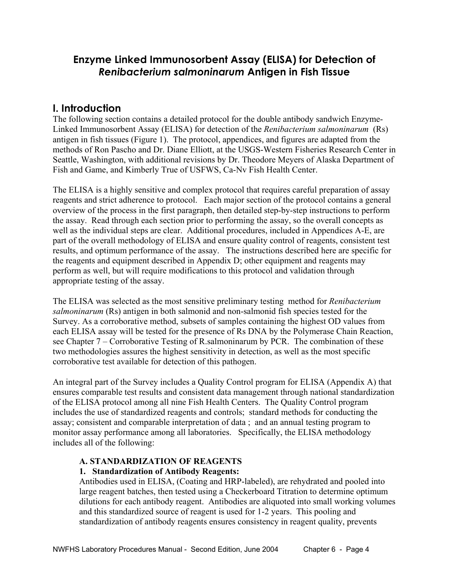## **Enzyme Linked Immunosorbent Assay (ELISA) for Detection of**  *Renibacterium salmoninarum* **Antigen in Fish Tissue**

## **I. Introduction**

The following section contains a detailed protocol for the double antibody sandwich Enzyme-Linked Immunosorbent Assay (ELISA) for detection of the *Renibacterium salmoninarum* (Rs) antigen in fish tissues (Figure 1). The protocol, appendices, and figures are adapted from the methods of Ron Pascho and Dr. Diane Elliott, at the USGS-Western Fisheries Research Center in Seattle, Washington, with additional revisions by Dr. Theodore Meyers of Alaska Department of Fish and Game, and Kimberly True of USFWS, Ca-Nv Fish Health Center.

The ELISA is a highly sensitive and complex protocol that requires careful preparation of assay reagents and strict adherence to protocol. Each major section of the protocol contains a general overview of the process in the first paragraph, then detailed step-by-step instructions to perform the assay. Read through each section prior to performing the assay, so the overall concepts as well as the individual steps are clear. Additional procedures, included in Appendices A-E, are part of the overall methodology of ELISA and ensure quality control of reagents, consistent test results, and optimum performance of the assay. The instructions described here are specific for the reagents and equipment described in Appendix D; other equipment and reagents may perform as well, but will require modifications to this protocol and validation through appropriate testing of the assay.

The ELISA was selected as the most sensitive preliminary testing method for *Renibacterium salmoninarum* (Rs) antigen in both salmonid and non-salmonid fish species tested for the Survey. As a corroborative method, subsets of samples containing the highest OD values from each ELISA assay will be tested for the presence of Rs DNA by the Polymerase Chain Reaction, see Chapter 7 – Corroborative Testing of R.salmoninarum by PCR. The combination of these two methodologies assures the highest sensitivity in detection, as well as the most specific corroborative test available for detection of this pathogen.

An integral part of the Survey includes a Quality Control program for ELISA (Appendix A) that ensures comparable test results and consistent data management through national standardization of the ELISA protocol among all nine Fish Health Centers. The Quality Control program includes the use of standardized reagents and controls; standard methods for conducting the assay; consistent and comparable interpretation of data ; and an annual testing program to monitor assay performance among all laboratories. Specifically, the ELISA methodology includes all of the following:

### **A. STANDARDIZATION OF REAGENTS**

#### **1. Standardization of Antibody Reagents:**

 Antibodies used in ELISA, (Coating and HRP-labeled), are rehydrated and pooled into large reagent batches, then tested using a Checkerboard Titration to determine optimum dilutions for each antibody reagent. Antibodies are aliquoted into small working volumes and this standardized source of reagent is used for 1-2 years. This pooling and standardization of antibody reagents ensures consistency in reagent quality, prevents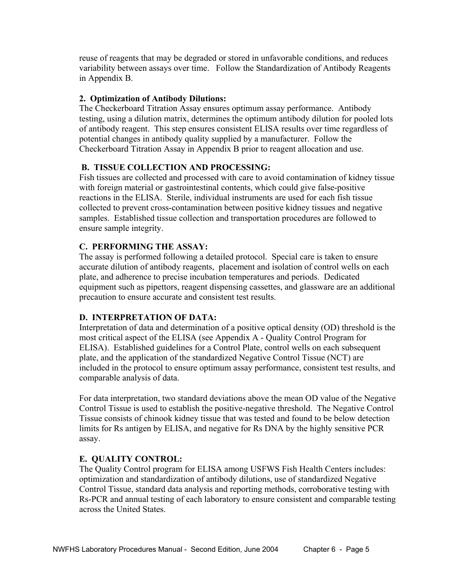reuse of reagents that may be degraded or stored in unfavorable conditions, and reduces variability between assays over time. Follow the Standardization of Antibody Reagents in Appendix B.

#### **2. Optimization of Antibody Dilutions:**

 The Checkerboard Titration Assay ensures optimum assay performance. Antibody testing, using a dilution matrix, determines the optimum antibody dilution for pooled lots of antibody reagent. This step ensures consistent ELISA results over time regardless of potential changes in antibody quality supplied by a manufacturer. Follow the Checkerboard Titration Assay in Appendix B prior to reagent allocation and use.

#### **B. TISSUE COLLECTION AND PROCESSING:**

Fish tissues are collected and processed with care to avoid contamination of kidney tissue with foreign material or gastrointestinal contents, which could give false-positive reactions in the ELISA. Sterile, individual instruments are used for each fish tissue collected to prevent cross-contamination between positive kidney tissues and negative samples. Established tissue collection and transportation procedures are followed to ensure sample integrity.

#### **C. PERFORMING THE ASSAY:**

The assay is performed following a detailed protocol. Special care is taken to ensure accurate dilution of antibody reagents, placement and isolation of control wells on each plate, and adherence to precise incubation temperatures and periods. Dedicated equipment such as pipettors, reagent dispensing cassettes, and glassware are an additional precaution to ensure accurate and consistent test results.

#### **D. INTERPRETATION OF DATA:**

Interpretation of data and determination of a positive optical density (OD) threshold is the most critical aspect of the ELISA (see Appendix A - Quality Control Program for ELISA). Established guidelines for a Control Plate, control wells on each subsequent plate, and the application of the standardized Negative Control Tissue (NCT) are included in the protocol to ensure optimum assay performance, consistent test results, and comparable analysis of data.

 For data interpretation, two standard deviations above the mean OD value of the Negative Control Tissue is used to establish the positive-negative threshold. The Negative Control Tissue consists of chinook kidney tissue that was tested and found to be below detection limits for Rs antigen by ELISA, and negative for Rs DNA by the highly sensitive PCR assay.

#### **E. QUALITY CONTROL:**

The Quality Control program for ELISA among USFWS Fish Health Centers includes: optimization and standardization of antibody dilutions, use of standardized Negative Control Tissue, standard data analysis and reporting methods, corroborative testing with Rs-PCR and annual testing of each laboratory to ensure consistent and comparable testing across the United States.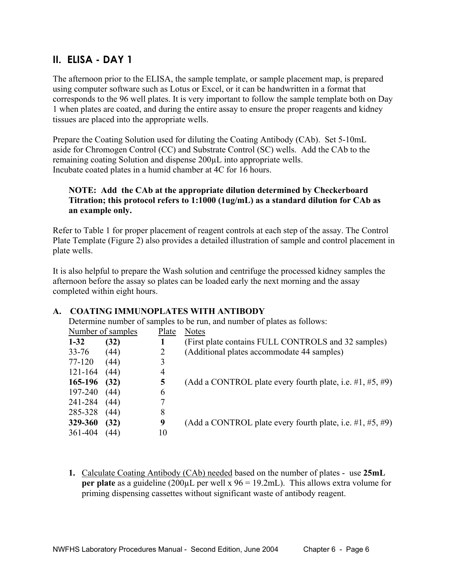## **II. ELISA - DAY 1**

The afternoon prior to the ELISA, the sample template, or sample placement map, is prepared using computer software such as Lotus or Excel, or it can be handwritten in a format that corresponds to the 96 well plates. It is very important to follow the sample template both on Day 1 when plates are coated, and during the entire assay to ensure the proper reagents and kidney tissues are placed into the appropriate wells.

Prepare the Coating Solution used for diluting the Coating Antibody (CAb). Set 5-10mL aside for Chromogen Control (CC) and Substrate Control (SC) wells. Add the CAb to the remaining coating Solution and dispense 200µL into appropriate wells. Incubate coated plates in a humid chamber at 4C for 16 hours.

#### **NOTE: Add the CAb at the appropriate dilution determined by Checkerboard Titration; this protocol refers to 1:1000 (1ug/mL) as a standard dilution for CAb as an example only.**

Refer to Table 1 for proper placement of reagent controls at each step of the assay. The Control Plate Template (Figure 2) also provides a detailed illustration of sample and control placement in plate wells.

It is also helpful to prepare the Wash solution and centrifuge the processed kidney samples the afternoon before the assay so plates can be loaded early the next morning and the assay completed within eight hours.

|           | Determine number of samples to be run, and number of plates as follows: |       |                                                                 |  |  |  |  |
|-----------|-------------------------------------------------------------------------|-------|-----------------------------------------------------------------|--|--|--|--|
|           | Number of samples                                                       | Plate | <b>Notes</b>                                                    |  |  |  |  |
| $1 - 32$  | (32)                                                                    |       | (First plate contains FULL CONTROLS and 32 samples)             |  |  |  |  |
| $33 - 76$ | (44)                                                                    | 2     | (Additional plates accommodate 44 samples)                      |  |  |  |  |
| 77-120    | (44)                                                                    | 3     |                                                                 |  |  |  |  |
| 121-164   | (44)                                                                    | 4     |                                                                 |  |  |  |  |
| 165-196   | (32)                                                                    | 5     | (Add a CONTROL plate every fourth plate, i.e. $\#1, \#5, \#9$ ) |  |  |  |  |
| 197-240   | (44)                                                                    | 6     |                                                                 |  |  |  |  |
| 241-284   | (44)                                                                    |       |                                                                 |  |  |  |  |
| 285-328   | (44)                                                                    | 8     |                                                                 |  |  |  |  |
| 329-360   | (32)                                                                    | 9     | (Add a CONTROL plate every fourth plate, i.e. $\#1, \#5, \#9$ ) |  |  |  |  |
| 361-404   | (44)                                                                    | 10    |                                                                 |  |  |  |  |

#### **A. COATING IMMUNOPLATES WITH ANTIBODY**

**1.** Calculate Coating Antibody (CAb) needed based on the number of plates - use **25mL per plate** as a guideline (200µL per well x 96 = 19.2mL). This allows extra volume for priming dispensing cassettes without significant waste of antibody reagent.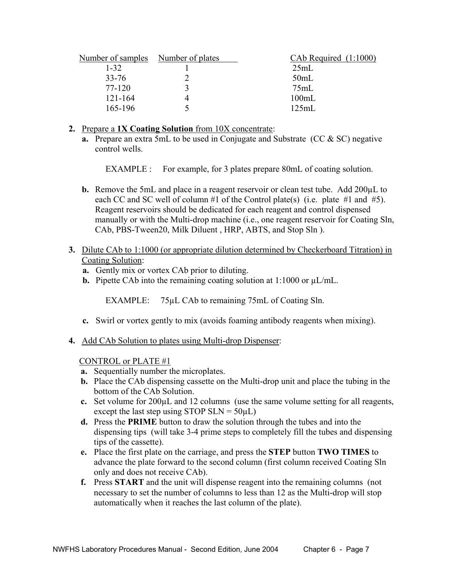| Number of samples Number of plates | $CAb$ Required $(1:1000)$ |
|------------------------------------|---------------------------|
| $1 - 32$                           | 25mL                      |
| $33 - 76$                          | 50mL                      |
| 77-120                             | 75mL                      |
| $121 - 164$                        | 100mL                     |
| 165-196                            | 125mL                     |
|                                    |                           |

#### **2.** Prepare a **1X Coating Solution** from 10X concentrate:

 **a.** Prepare an extra 5mL to be used in Conjugate and Substrate (CC & SC) negative control wells.

EXAMPLE : For example, for 3 plates prepare 80mL of coating solution.

- **b.** Remove the 5mL and place in a reagent reservoir or clean test tube. Add 200µL to each CC and SC well of column #1 of the Control plate(s) (i.e. plate #1 and #5). Reagent reservoirs should be dedicated for each reagent and control dispensed manually or with the Multi-drop machine (i.e., one reagent reservoir for Coating Sln, CAb, PBS-Tween20, Milk Diluent , HRP, ABTS, and Stop Sln ).
- **3.** Dilute CAb to 1:1000 (or appropriate dilution determined by Checkerboard Titration) in Coating Solution:
	- **a.** Gently mix or vortex CAb prior to diluting.
	- **b.** Pipette CAb into the remaining coating solution at  $1:1000$  or  $\mu L/mL$ .

EXAMPLE: 75µL CAb to remaining 75mL of Coating Sln.

- **c.** Swirl or vortex gently to mix (avoids foaming antibody reagents when mixing).
- **4.** Add CAb Solution to plates using Multi-drop Dispenser:

CONTROL or PLATE #1

- **a.** Sequentially number the microplates.
- **b.** Place the CAb dispensing cassette on the Multi-drop unit and place the tubing in the bottom of the CAb Solution.
- **c.** Set volume for 200µL and 12 columns (use the same volume setting for all reagents, except the last step using STOP SLN =  $50\mu L$ )
- **d.** Press the **PRIME** button to draw the solution through the tubes and into the dispensing tips (will take 3-4 prime steps to completely fill the tubes and dispensing tips of the cassette).
- **e.** Place the first plate on the carriage, and press the **STEP** button **TWO TIMES** to advance the plate forward to the second column (first column received Coating Sln only and does not receive CAb).
- **f.** Press **START** and the unit will dispense reagent into the remaining columns (not necessary to set the number of columns to less than 12 as the Multi-drop will stop automatically when it reaches the last column of the plate).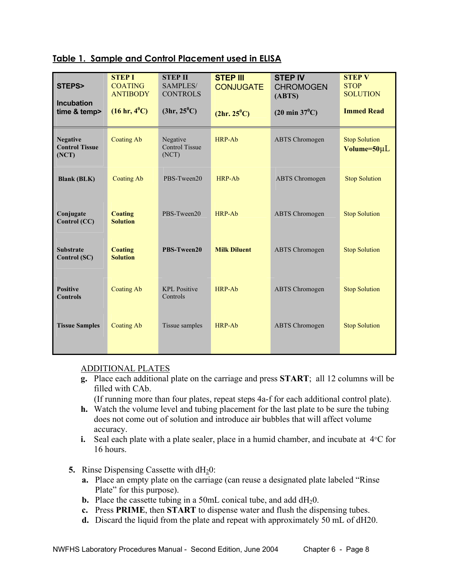| Table 1. Sample and Control Placement used in ELISA |
|-----------------------------------------------------|
|-----------------------------------------------------|

| STEPS>                                            | <b>STEP I</b><br><b>COATING</b><br><b>ANTIBODY</b> | <b>STEP II</b><br><b>SAMPLES/</b><br><b>CONTROLS</b> | <b>STEP III</b><br><b>CONJUGATE</b> | <b>STEP IV</b><br><b>CHROMOGEN</b><br>(ABTS) | <b>STEP V</b><br><b>STOP</b><br><b>SOLUTION</b> |
|---------------------------------------------------|----------------------------------------------------|------------------------------------------------------|-------------------------------------|----------------------------------------------|-------------------------------------------------|
| <b>Incubation</b><br>time & temp>                 | $(16 \text{ hr}, 4^0 \text{C})$                    | (3hr, 25 <sup>0</sup> C)                             | (2hr. 25 <sup>0</sup> C)            | $(20 \text{ min } 37^0\text{C})$             | <b>Immed Read</b>                               |
| <b>Negative</b><br><b>Control Tissue</b><br>(NOT) | <b>Coating Ab</b>                                  | Negative<br><b>Control Tissue</b><br>(NOT)           | <b>HRP-Ab</b>                       | <b>ABTS</b> Chromogen                        | <b>Stop Solution</b><br>Volume=50µL             |
| <b>Blank (BLK)</b>                                | <b>Coating Ab</b>                                  | PBS-Tween20                                          | HRP-Ab                              | <b>ABTS</b> Chromogen                        | <b>Stop Solution</b>                            |
| Conjugate<br>Control (CC)                         | <b>Coating</b><br><b>Solution</b>                  | PBS-Tween20                                          | HRP-Ab                              | <b>ABTS</b> Chromogen                        | <b>Stop Solution</b>                            |
| <b>Substrate</b><br>Control (SC)                  | <b>Coating</b><br>PBS-Tween20<br><b>Solution</b>   |                                                      | <b>Milk Diluent</b>                 | <b>ABTS</b> Chromogen                        | <b>Stop Solution</b>                            |
| <b>Positive</b><br><b>Controls</b>                | <b>Coating Ab</b>                                  | <b>KPL Positive</b><br>Controls                      | HRP-Ab                              | <b>ABTS</b> Chromogen                        | <b>Stop Solution</b>                            |
| <b>Tissue Samples</b>                             | <b>Coating Ab</b>                                  | Tissue samples                                       | <b>HRP-Ab</b>                       | <b>ABTS</b> Chromogen                        | <b>Stop Solution</b>                            |

#### ADDITIONAL PLATES

 **g.** Place each additional plate on the carriage and press **START**; all 12 columns will be filled with CAb.

(If running more than four plates, repeat steps 4a-f for each additional control plate).

- **h.** Watch the volume level and tubing placement for the last plate to be sure the tubing does not come out of solution and introduce air bubbles that will affect volume accuracy.
- **i.** Seal each plate with a plate sealer, place in a humid chamber, and incubate at  $4^{\circ}$ C for 16 hours.
- **5.** Rinse Dispensing Cassette with dH<sub>2</sub>0:
	- **a.** Place an empty plate on the carriage (can reuse a designated plate labeled "Rinse Plate" for this purpose).
	- **b.** Place the cassette tubing in a 50mL conical tube, and add dH<sub>2</sub>0.
	- **c.** Press **PRIME**, then **START** to dispense water and flush the dispensing tubes.
	- **d.** Discard the liquid from the plate and repeat with approximately 50 mL of dH20.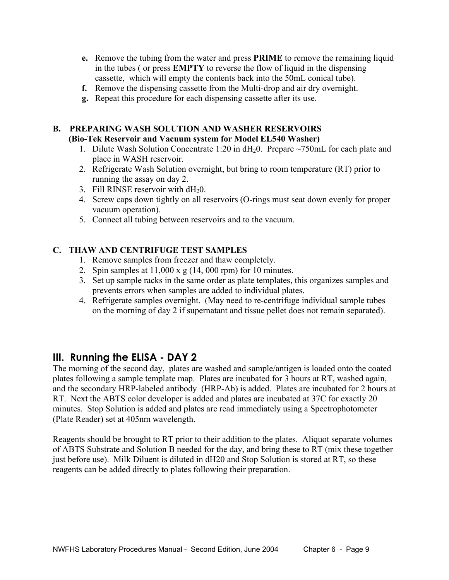- **e.** Remove the tubing from the water and press **PRIME** to remove the remaining liquid in the tubes ( or press **EMPTY** to reverse the flow of liquid in the dispensing cassette, which will empty the contents back into the 50mL conical tube).
- **f.** Remove the dispensing cassette from the Multi-drop and air dry overnight.
- **g.** Repeat this procedure for each dispensing cassette after its use.

## **B. PREPARING WASH SOLUTION AND WASHER RESERVOIRS (Bio-Tek Reservoir and Vacuum system for Model EL540 Washer)**

- 1. Dilute Wash Solution Concentrate 1:20 in  $dH_2$ 0. Prepare ~750mL for each plate and place in WASH reservoir.
- 2. Refrigerate Wash Solution overnight, but bring to room temperature (RT) prior to running the assay on day 2.
- 3. Fill RINSE reservoir with  $dH<sub>2</sub>0$ .
- 4. Screw caps down tightly on all reservoirs (O-rings must seat down evenly for proper vacuum operation).
- 5. Connect all tubing between reservoirs and to the vacuum.

#### **C. THAW AND CENTRIFUGE TEST SAMPLES**

- 1. Remove samples from freezer and thaw completely.
- 2. Spin samples at  $11,000 \times g$  (14, 000 rpm) for 10 minutes.
- 3. Set up sample racks in the same order as plate templates, this organizes samples and prevents errors when samples are added to individual plates.
- 4. Refrigerate samples overnight. (May need to re-centrifuge individual sample tubes on the morning of day 2 if supernatant and tissue pellet does not remain separated).

## **III. Running the ELISA - DAY 2**

The morning of the second day, plates are washed and sample/antigen is loaded onto the coated plates following a sample template map. Plates are incubated for 3 hours at RT, washed again, and the secondary HRP-labeled antibody (HRP-Ab) is added. Plates are incubated for 2 hours at RT. Next the ABTS color developer is added and plates are incubated at 37C for exactly 20 minutes. Stop Solution is added and plates are read immediately using a Spectrophotometer (Plate Reader) set at 405nm wavelength.

Reagents should be brought to RT prior to their addition to the plates. Aliquot separate volumes of ABTS Substrate and Solution B needed for the day, and bring these to RT (mix these together just before use). Milk Diluent is diluted in dH20 and Stop Solution is stored at RT, so these reagents can be added directly to plates following their preparation.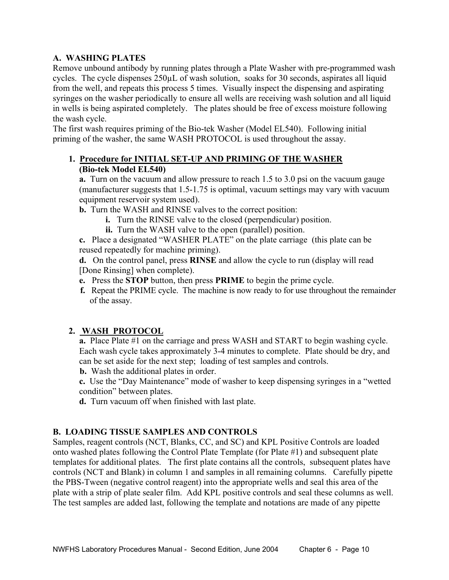#### **A. WASHING PLATES**

Remove unbound antibody by running plates through a Plate Washer with pre-programmed wash cycles. The cycle dispenses 250µL of wash solution, soaks for 30 seconds, aspirates all liquid from the well, and repeats this process 5 times. Visually inspect the dispensing and aspirating syringes on the washer periodically to ensure all wells are receiving wash solution and all liquid in wells is being aspirated completely. The plates should be free of excess moisture following the wash cycle.

The first wash requires priming of the Bio-tek Washer (Model EL540). Following initial priming of the washer, the same WASH PROTOCOL is used throughout the assay.

#### **1. Procedure for INITIAL SET-UP AND PRIMING OF THE WASHER (Bio-tek Model EL540)**

 **a.** Turn on the vacuum and allow pressure to reach 1.5 to 3.0 psi on the vacuum gauge (manufacturer suggests that 1.5-1.75 is optimal, vacuum settings may vary with vacuum equipment reservoir system used).

**b.** Turn the WASH and RINSE valves to the correct position:

- **i.** Turn the RINSE valve to the closed (perpendicular) position.
- **ii.** Turn the WASH valve to the open (parallel) position.

 **c.** Place a designated "WASHER PLATE" on the plate carriage (this plate can be reused repeatedly for machine priming).

 **d.** On the control panel, press **RINSE** and allow the cycle to run (display will read [Done Rinsing] when complete).

- **e.** Press the **STOP** button, then press **PRIME** to begin the prime cycle.
- **f.** Repeat the PRIME cycle. The machine is now ready to for use throughout the remainder of the assay.

#### **2. WASH PROTOCOL**

 **a.** Place Plate #1 on the carriage and press WASH and START to begin washing cycle. Each wash cycle takes approximately 3-4 minutes to complete. Plate should be dry, and can be set aside for the next step; loading of test samples and controls.

**b.** Wash the additional plates in order.

 **c.** Use the "Day Maintenance" mode of washer to keep dispensing syringes in a "wetted condition" between plates.

**d.** Turn vacuum off when finished with last plate.

#### **B. LOADING TISSUE SAMPLES AND CONTROLS**

Samples, reagent controls (NCT, Blanks, CC, and SC) and KPL Positive Controls are loaded onto washed plates following the Control Plate Template (for Plate #1) and subsequent plate templates for additional plates. The first plate contains all the controls, subsequent plates have controls (NCT and Blank) in column 1 and samples in all remaining columns. Carefully pipette the PBS-Tween (negative control reagent) into the appropriate wells and seal this area of the plate with a strip of plate sealer film. Add KPL positive controls and seal these columns as well. The test samples are added last, following the template and notations are made of any pipette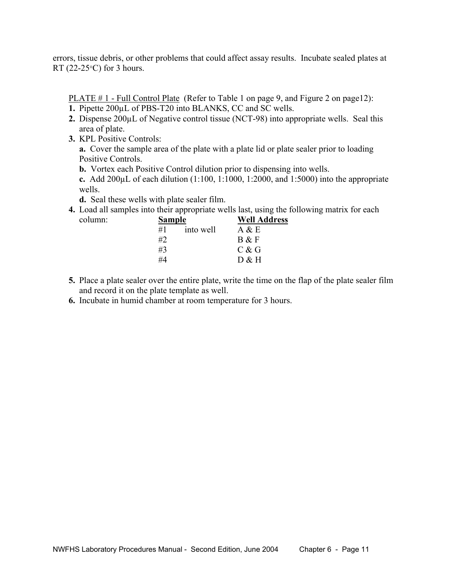errors, tissue debris, or other problems that could affect assay results. Incubate sealed plates at RT (22-25 $\textdegree$ C) for 3 hours.

PLATE # 1 - Full Control Plate (Refer to Table 1 on page 9, and Figure 2 on page12):

- **1.** Pipette 200µL of PBS-T20 into BLANKS, CC and SC wells.
- **2.** Dispense 200µL of Negative control tissue (NCT-98) into appropriate wells. Seal this area of plate.
- **3.** KPL Positive Controls:

 **a.** Cover the sample area of the plate with a plate lid or plate sealer prior to loading Positive Controls.

**b.** Vortex each Positive Control dilution prior to dispensing into wells.

 **c.** Add 200µL of each dilution (1:100, 1:1000, 1:2000, and 1:5000) into the appropriate wells.

**d.** Seal these wells with plate sealer film.

 **4.** Load all samples into their appropriate wells last, using the following matrix for each column: **Sample** Well Address

| column: | Sample | well Addre |       |
|---------|--------|------------|-------|
|         | #1     | into well  | A & E |
|         | #2     |            | B & F |
|         | #3     |            | C & G |
|         | #4     |            | D & H |

- **5.** Place a plate sealer over the entire plate, write the time on the flap of the plate sealer film and record it on the plate template as well.
- **6.** Incubate in humid chamber at room temperature for 3 hours.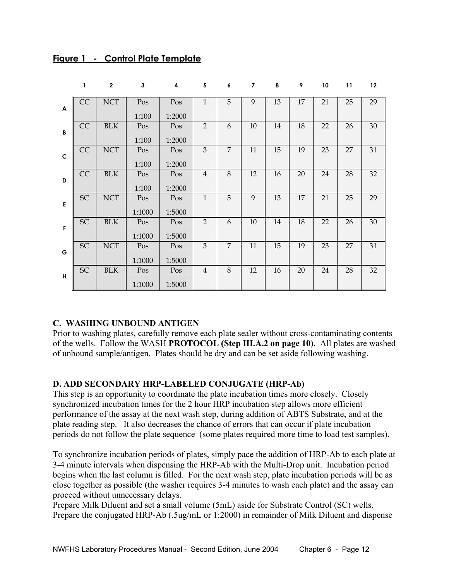|                | 1         | $\mathbf{2}$ | 3             | 4             | 5              | 6              | 7  | 8  | 9  | 10 | 11 | 12     |
|----------------|-----------|--------------|---------------|---------------|----------------|----------------|----|----|----|----|----|--------|
| $\overline{A}$ | CC        | <b>NCT</b>   | Pos<br>1:100  | Pos<br>1:2000 | $\mathbf{1}$   | 5              | 9  | 13 | 17 | 21 | 25 | 29     |
| $\mathbf{B}$   | CC        | <b>BLK</b>   | Pos<br>1:100  | Pos<br>1:2000 | $\overline{2}$ | 6              | 10 | 14 | 18 | 22 | 26 | 30     |
| $\mathbf C$    | CC        | <b>NCT</b>   | Pos<br>1:100  | Pos<br>1:2000 | 3              | $\overline{7}$ | 11 | 15 | 19 | 23 | 27 | $31\,$ |
| D              | CC        | $\rm BLK$    | Pos<br>1:100  | Pos<br>1:2000 | $\overline{4}$ | 8              | 12 | 16 | 20 | 24 | 28 | 32     |
| E              | SC        | <b>NCT</b>   | Pos<br>1:1000 | Pos<br>1:5000 | $\mathbf{1}$   | 5              | 9  | 13 | 17 | 21 | 25 | 29     |
| $\mathsf F$    | <b>SC</b> | <b>BLK</b>   | Pos<br>1:1000 | Pos<br>1:5000 | $\overline{2}$ | 6              | 10 | 14 | 18 | 22 | 26 | 30     |
| G              | SC        | <b>NCT</b>   | Pos<br>1:1000 | Pos<br>1:5000 | 3              | $\overline{7}$ | 11 | 15 | 19 | 23 | 27 | 31     |
| H              | <b>SC</b> | <b>BLK</b>   | Pos<br>1:1000 | Pos<br>1:5000 | $\overline{4}$ | 8              | 12 | 16 | 20 | 24 | 28 | 32     |

#### **Figure 1 - Control Plate Template**

#### **C. WASHING UNBOUND ANTIGEN**

Prior to washing plates, carefully remove each plate sealer without cross-contaminating contents of the wells. Follow the WASH **PROTOCOL (Step III.A.2 on page 10).** All plates are washed of unbound sample/antigen. Plates should be dry and can be set aside following washing.

#### **D. ADD SECONDARY HRP-LABELED CONJUGATE (HRP-Ab)**

This step is an opportunity to coordinate the plate incubation times more closely. Closely synchronized incubation times for the 2 hour HRP incubation step allows more efficient performance of the assay at the next wash step, during addition of ABTS Substrate, and at the plate reading step. It also decreases the chance of errors that can occur if plate incubation periods do not follow the plate sequence (some plates required more time to load test samples).

To synchronize incubation periods of plates, simply pace the addition of HRP-Ab to each plate at 3-4 minute intervals when dispensing the HRP-Ab with the Multi-Drop unit. Incubation period begins when the last column is filled. For the next wash step, plate incubation periods will be as close together as possible (the washer requires 3-4 minutes to wash each plate) and the assay can proceed without unnecessary delays.

Prepare Milk Diluent and set a small volume (5mL) aside for Substrate Control (SC) wells. Prepare the conjugated HRP-Ab (.5ug/mL or 1:2000) in remainder of Milk Diluent and dispense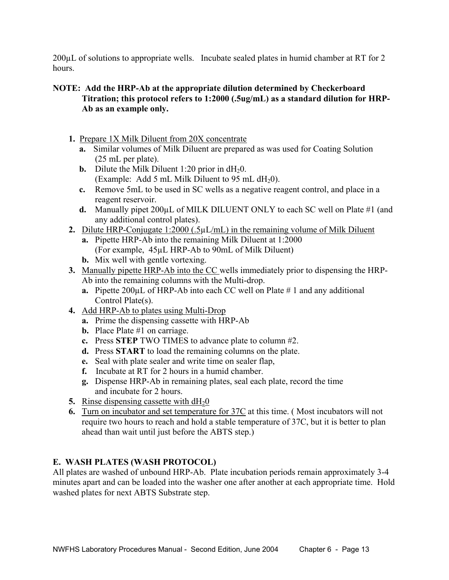200µL of solutions to appropriate wells. Incubate sealed plates in humid chamber at RT for 2 hours.

#### **NOTE: Add the HRP-Ab at the appropriate dilution determined by Checkerboard Titration; this protocol refers to 1:2000 (.5ug/mL) as a standard dilution for HRP-Ab as an example only.**

- **1.** Prepare 1X Milk Diluent from 20X concentrate
	- **a.** Similar volumes of Milk Diluent are prepared as was used for Coating Solution (25 mL per plate).
	- **b.** Dilute the Milk Diluent 1:20 prior in  $dH_20$ . (Example: Add 5 mL Milk Diluent to 95 mL  $dH_20$ ).
	- **c.** Remove 5mL to be used in SC wells as a negative reagent control, and place in a reagent reservoir.
	- **d.** Manually pipet 200µL of MILK DILUENT ONLY to each SC well on Plate #1 (and any additional control plates).
- **2.** Dilute HRP-Conjugate 1:2000 (.5µL/mL) in the remaining volume of Milk Diluent
	- **a.** Pipette HRP-Ab into the remaining Milk Diluent at 1:2000 (For example, 45µL HRP-Ab to 90mL of Milk Diluent)
	- **b.** Mix well with gentle vortexing.
- **3.** Manually pipette HRP-Ab into the CC wells immediately prior to dispensing the HRP-Ab into the remaining columns with the Multi-drop.
	- **a.** Pipette 200µL of HRP-Ab into each CC well on Plate # 1 and any additional Control Plate(s).
- **4.** Add HRP-Ab to plates using Multi-Drop
	- **a.** Prime the dispensing cassette with HRP-Ab
	- **b.** Place Plate #1 on carriage.
	- **c.** Press **STEP** TWO TIMES to advance plate to column #2.
	- **d.** Press **START** to load the remaining columns on the plate.
	- **e.** Seal with plate sealer and write time on sealer flap,
	- **f.** Incubate at RT for 2 hours in a humid chamber.
	- **g.** Dispense HRP-Ab in remaining plates, seal each plate, record the time and incubate for 2 hours.
- **5.** Rinse dispensing cassette with  $dH_20$
- **6.** Turn on incubator and set temperature for 37C at this time. ( Most incubators will not require two hours to reach and hold a stable temperature of 37C, but it is better to plan ahead than wait until just before the ABTS step.)

### **E. WASH PLATES (WASH PROTOCOL)**

All plates are washed of unbound HRP-Ab. Plate incubation periods remain approximately 3-4 minutes apart and can be loaded into the washer one after another at each appropriate time. Hold washed plates for next ABTS Substrate step.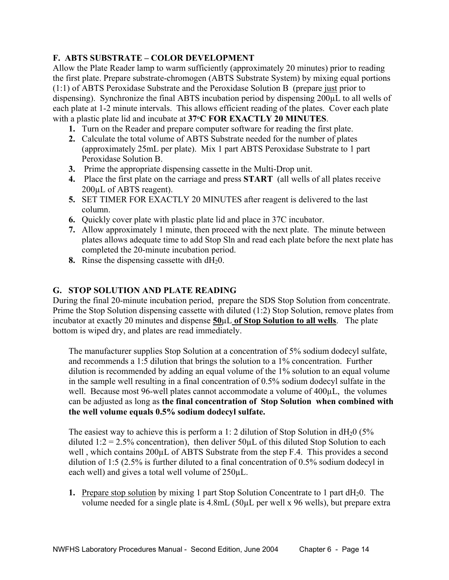#### **F. ABTS SUBSTRATE – COLOR DEVELOPMENT**

Allow the Plate Reader lamp to warm sufficiently (approximately 20 minutes) prior to reading the first plate. Prepare substrate-chromogen (ABTS Substrate System) by mixing equal portions (1:1) of ABTS Peroxidase Substrate and the Peroxidase Solution B (prepare just prior to dispensing). Synchronize the final ABTS incubation period by dispensing 200µL to all wells of each plate at 1-2 minute intervals. This allows efficient reading of the plates. Cover each plate with a plastic plate lid and incubate at **37°C FOR EXACTLY 20 MINUTES**.

- **1.** Turn on the Reader and prepare computer software for reading the first plate.
- **2.** Calculate the total volume of ABTS Substrate needed for the number of plates (approximately 25mL per plate). Mix 1 part ABTS Peroxidase Substrate to 1 part Peroxidase Solution B.
- **3.** Prime the appropriate dispensing cassette in the Multi-Drop unit.
- **4.** Place the first plate on the carriage and press **START** (all wells of all plates receive 200µL of ABTS reagent).
- **5.** SET TIMER FOR EXACTLY 20 MINUTES after reagent is delivered to the last column.
- **6.** Quickly cover plate with plastic plate lid and place in 37C incubator.
- **7.** Allow approximately 1 minute, then proceed with the next plate. The minute between plates allows adequate time to add Stop Sln and read each plate before the next plate has completed the 20-minute incubation period.
- **8.** Rinse the dispensing cassette with  $dH_20$ .

#### **G. STOP SOLUTION AND PLATE READING**

During the final 20-minute incubation period, prepare the SDS Stop Solution from concentrate. Prime the Stop Solution dispensing cassette with diluted (1:2) Stop Solution, remove plates from incubator at exactly 20 minutes and dispense **50**µL **of Stop Solution to all wells**. The plate bottom is wiped dry, and plates are read immediately.

 The manufacturer supplies Stop Solution at a concentration of 5% sodium dodecyl sulfate, and recommends a 1:5 dilution that brings the solution to a 1% concentration. Further dilution is recommended by adding an equal volume of the 1% solution to an equal volume in the sample well resulting in a final concentration of 0.5% sodium dodecyl sulfate in the well. Because most 96-well plates cannot accommodate a volume of 400µL, the volumes can be adjusted as long as **the final concentration of Stop Solution when combined with the well volume equals 0.5% sodium dodecyl sulfate.** 

The easiest way to achieve this is perform a 1: 2 dilution of Stop Solution in  $dH_2$ 0 (5% diluted 1:2 = 2.5% concentration), then deliver  $50 \mu L$  of this diluted Stop Solution to each well, which contains  $200\mu$  C of ABTS Substrate from the step F.4. This provides a second dilution of 1:5 (2.5% is further diluted to a final concentration of 0.5% sodium dodecyl in each well) and gives a total well volume of 250µL.

**1.** Prepare stop solution by mixing 1 part Stop Solution Concentrate to 1 part dH<sub>2</sub>0. The volume needed for a single plate is 4.8mL (50µL per well x 96 wells), but prepare extra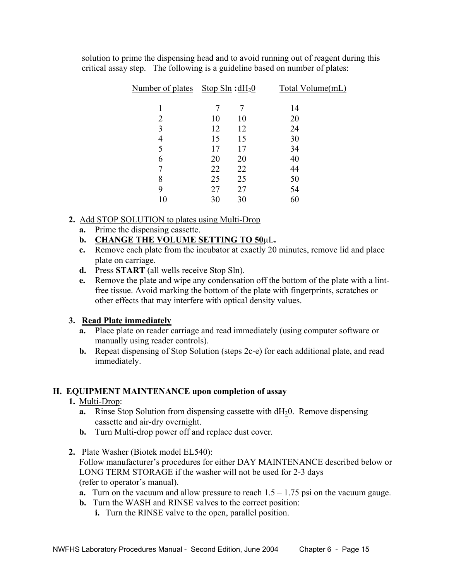solution to prime the dispensing head and to avoid running out of reagent during this critical assay step. The following is a guideline based on number of plates:

| Number of plates Stop Sln : $dH_2$ <sup>0</sup> |    |    | Total Volume(mL) |
|-------------------------------------------------|----|----|------------------|
|                                                 |    | 7  | 14               |
| 2                                               | 10 | 10 | 20               |
| 3                                               | 12 | 12 | 24               |
| 4                                               | 15 | 15 | 30               |
| 5                                               | 17 | 17 | 34               |
| 6                                               | 20 | 20 | 40               |
| 7                                               | 22 | 22 | 44               |
| 8                                               | 25 | 25 | 50               |
| 9                                               | 27 | 27 | 54               |
| 10                                              | 30 | 30 | 60               |

#### **2.** Add STOP SOLUTION to plates using Multi-Drop

- **a.** Prime the dispensing cassette.
- **b. CHANGE THE VOLUME SETTING TO 50**µL**.**
- **c.** Remove each plate from the incubator at exactly 20 minutes, remove lid and place plate on carriage.
- **d.** Press **START** (all wells receive Stop Sln).
- **e.** Remove the plate and wipe any condensation off the bottom of the plate with a lint free tissue. Avoid marking the bottom of the plate with fingerprints, scratches or other effects that may interfere with optical density values.

### **3. Read Plate immediately**

- **a.** Place plate on reader carriage and read immediately (using computer software or manually using reader controls).
- **b.** Repeat dispensing of Stop Solution (steps 2c-e) for each additional plate, and read immediately.

### **H. EQUIPMENT MAINTENANCE upon completion of assay**

- **1.** Multi-Drop:
	- **a.** Rinse Stop Solution from dispensing cassette with  $dH_2$ 0. Remove dispensing cassette and air-dry overnight.
	- **b.** Turn Multi-drop power off and replace dust cover.
- **2.** Plate Washer (Biotek model EL540): Follow manufacturer's procedures for either DAY MAINTENANCE described below or LONG TERM STORAGE if the washer will not be used for 2-3 days

(refer to operator's manual).

- **a.** Turn on the vacuum and allow pressure to reach  $1.5 1.75$  psi on the vacuum gauge.
- **b.** Turn the WASH and RINSE valves to the correct position:
	- **i.** Turn the RINSE valve to the open, parallel position.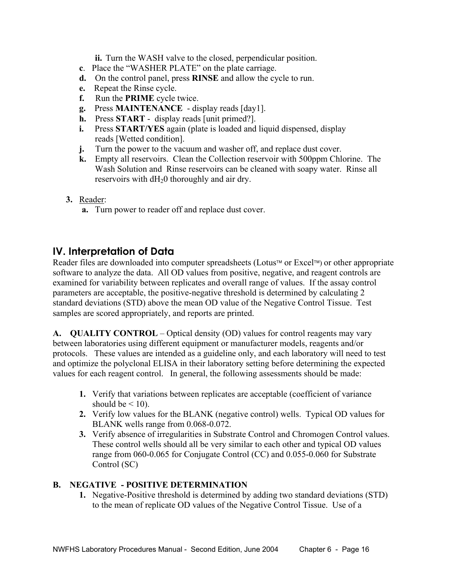**ii.** Turn the WASH valve to the closed, perpendicular position.

- **c**. Place the "WASHER PLATE" on the plate carriage.
- **d.** On the control panel, press **RINSE** and allow the cycle to run.
- **e.** Repeat the Rinse cycle.
- **f.** Run the **PRIME** cycle twice.
- **g.** Press **MAINTENANCE** display reads [day1].
- **h.** Press **START** display reads [unit primed?].
- **i.** Press **START/YES** again (plate is loaded and liquid dispensed, display reads [Wetted condition].
- **j.** Turn the power to the vacuum and washer off, and replace dust cover.
- **k.** Empty all reservoirs. Clean the Collection reservoir with 500ppm Chlorine. The Wash Solution and Rinse reservoirs can be cleaned with soapy water. Rinse all reservoirs with  $dH<sub>2</sub>0$  thoroughly and air dry.
- **3.** Reader:
	- **a.** Turn power to reader off and replace dust cover.

## **IV. Interpretation of Data**

Reader files are downloaded into computer spreadsheets (Lotus<sup> $M$ </sup> or Excel<sup> $M$ </sup>) or other appropriate software to analyze the data. All OD values from positive, negative, and reagent controls are examined for variability between replicates and overall range of values. If the assay control parameters are acceptable, the positive-negative threshold is determined by calculating 2 standard deviations (STD) above the mean OD value of the Negative Control Tissue. Test samples are scored appropriately, and reports are printed.

**A. QUALITY CONTROL** – Optical density (OD) values for control reagents may vary between laboratories using different equipment or manufacturer models, reagents and/or protocols. These values are intended as a guideline only, and each laboratory will need to test and optimize the polyclonal ELISA in their laboratory setting before determining the expected values for each reagent control. In general, the following assessments should be made:

- **1.** Verify that variations between replicates are acceptable (coefficient of variance should be  $\leq 10$ .
- **2.** Verify low values for the BLANK (negative control) wells. Typical OD values for BLANK wells range from 0.068-0.072.
- **3.** Verify absence of irregularities in Substrate Control and Chromogen Control values. These control wells should all be very similar to each other and typical OD values range from 060-0.065 for Conjugate Control (CC) and 0.055-0.060 for Substrate Control (SC)

#### **B. NEGATIVE - POSITIVE DETERMINATION**

**1.** Negative-Positive threshold is determined by adding two standard deviations (STD) to the mean of replicate OD values of the Negative Control Tissue. Use of a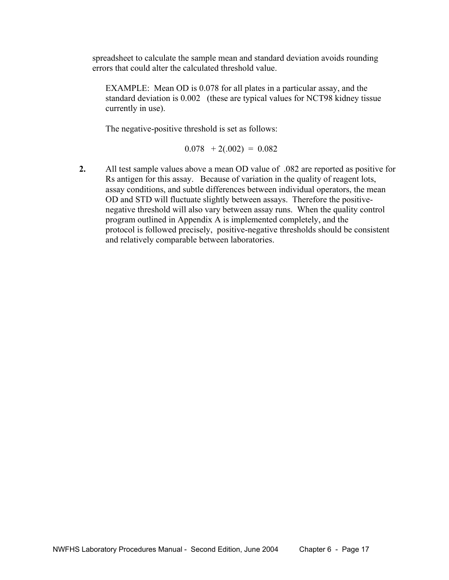spreadsheet to calculate the sample mean and standard deviation avoids rounding errors that could alter the calculated threshold value.

 EXAMPLE: Mean OD is 0.078 for all plates in a particular assay, and the standard deviation is 0.002 (these are typical values for NCT98 kidney tissue currently in use).

The negative-positive threshold is set as follows:

 $0.078 + 2(.002) = 0.082$ 

**2.** All test sample values above a mean OD value of .082 are reported as positive for Rs antigen for this assay. Because of variation in the quality of reagent lots, assay conditions, and subtle differences between individual operators, the mean OD and STD will fluctuate slightly between assays. Therefore the positivenegative threshold will also vary between assay runs. When the quality control program outlined in Appendix A is implemented completely, and the protocol is followed precisely, positive-negative thresholds should be consistent and relatively comparable between laboratories.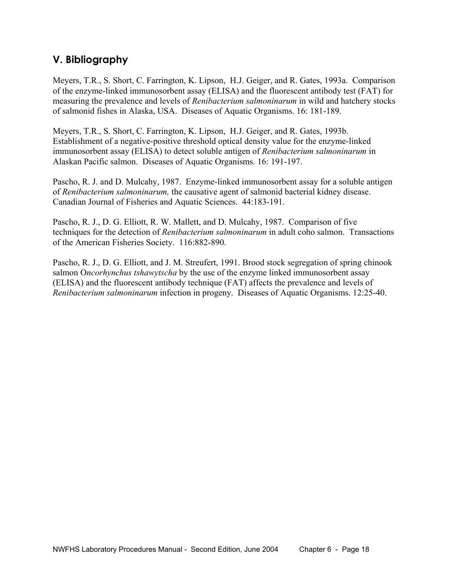## **V. Bibliography**

Meyers, T.R., S. Short, C. Farrington, K. Lipson, H.J. Geiger, and R. Gates, 1993a. Comparison of the enzyme-linked immunosorbent assay (ELISA) and the fluorescent antibody test (FAT) for measuring the prevalence and levels of *Renibacterium salmoninarum* in wild and hatchery stocks of salmonid fishes in Alaska, USA. Diseases of Aquatic Organisms. 16: 181-189.

Meyers, T.R., S. Short, C. Farrington, K. Lipson, H.J. Geiger, and R. Gates, 1993b. Establishment of a negative-positive threshold optical density value for the enzyme-linked immunosorbent assay (ELISA) to detect soluble antigen of *Renibacterium salmoninarum* in Alaskan Pacific salmon. Diseases of Aquatic Organisms. 16: 191-197.

Pascho, R. J. and D. Mulcahy, 1987. Enzyme-linked immunosorbent assay for a soluble antigen of *Renibacterium salmoninarum,* the causative agent of salmonid bacterial kidney disease. Canadian Journal of Fisheries and Aquatic Sciences. 44:183-191.

Pascho, R. J., D. G. Elliott, R. W. Mallett, and D. Mulcahy, 1987. Comparison of five techniques for the detection of *Renibacterium salmoninarum* in adult coho salmon. Transactions of the American Fisheries Society. 116:882-890.

Pascho, R. J., D. G. Elliott, and J. M. Streufert, 1991. Brood stock segregation of spring chinook salmon O*ncorhynchus tshawytscha* by the use of the enzyme linked immunosorbent assay (ELISA) and the fluorescent antibody technique (FAT) affects the prevalence and levels of *Renibacterium salmoninarum* infection in progeny. Diseases of Aquatic Organisms. 12:25-40.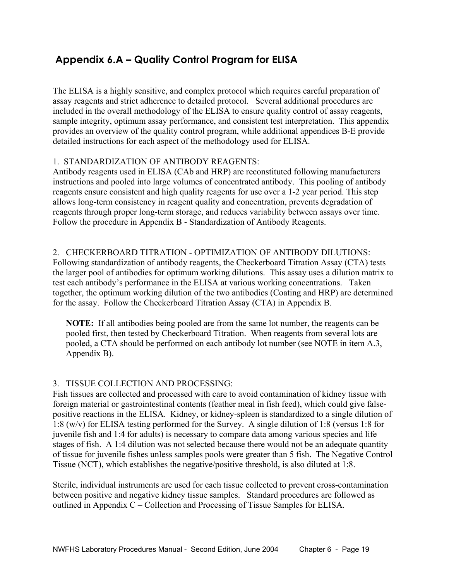## **Appendix 6.A – Quality Control Program for ELISA**

The ELISA is a highly sensitive, and complex protocol which requires careful preparation of assay reagents and strict adherence to detailed protocol. Several additional procedures are included in the overall methodology of the ELISA to ensure quality control of assay reagents, sample integrity, optimum assay performance, and consistent test interpretation. This appendix provides an overview of the quality control program, while additional appendices B-E provide detailed instructions for each aspect of the methodology used for ELISA.

#### 1. STANDARDIZATION OF ANTIBODY REAGENTS:

Antibody reagents used in ELISA (CAb and HRP) are reconstituted following manufacturers instructions and pooled into large volumes of concentrated antibody. This pooling of antibody reagents ensure consistent and high quality reagents for use over a 1-2 year period. This step allows long-term consistency in reagent quality and concentration, prevents degradation of reagents through proper long-term storage, and reduces variability between assays over time. Follow the procedure in Appendix B - Standardization of Antibody Reagents.

#### 2. CHECKERBOARD TITRATION - OPTIMIZATION OF ANTIBODY DILUTIONS:

Following standardization of antibody reagents, the Checkerboard Titration Assay (CTA) tests the larger pool of antibodies for optimum working dilutions. This assay uses a dilution matrix to test each antibody's performance in the ELISA at various working concentrations. Taken together, the optimum working dilution of the two antibodies (Coating and HRP) are determined for the assay. Follow the Checkerboard Titration Assay (CTA) in Appendix B.

**NOTE:** If all antibodies being pooled are from the same lot number, the reagents can be pooled first, then tested by Checkerboard Titration. When reagents from several lots are pooled, a CTA should be performed on each antibody lot number (see NOTE in item A.3, Appendix B).

#### 3. TISSUE COLLECTION AND PROCESSING:

Fish tissues are collected and processed with care to avoid contamination of kidney tissue with foreign material or gastrointestinal contents (feather meal in fish feed), which could give falsepositive reactions in the ELISA. Kidney, or kidney-spleen is standardized to a single dilution of 1:8 (w/v) for ELISA testing performed for the Survey. A single dilution of 1:8 (versus 1:8 for juvenile fish and 1:4 for adults) is necessary to compare data among various species and life stages of fish. A 1:4 dilution was not selected because there would not be an adequate quantity of tissue for juvenile fishes unless samples pools were greater than 5 fish. The Negative Control Tissue (NCT), which establishes the negative/positive threshold, is also diluted at 1:8.

Sterile, individual instruments are used for each tissue collected to prevent cross-contamination between positive and negative kidney tissue samples. Standard procedures are followed as outlined in Appendix C – Collection and Processing of Tissue Samples for ELISA.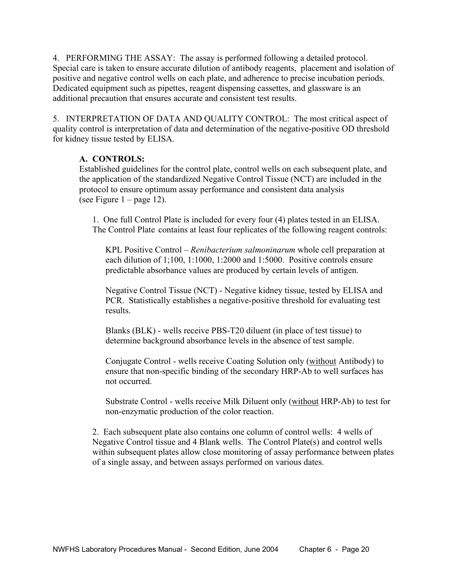4. PERFORMING THE ASSAY: The assay is performed following a detailed protocol. Special care is taken to ensure accurate dilution of antibody reagents, placement and isolation of positive and negative control wells on each plate, and adherence to precise incubation periods. Dedicated equipment such as pipettes, reagent dispensing cassettes, and glassware is an additional precaution that ensures accurate and consistent test results.

5. INTERPRETATION OF DATA AND QUALITY CONTROL: The most critical aspect of quality control is interpretation of data and determination of the negative-positive OD threshold for kidney tissue tested by ELISA.

#### **A. CONTROLS:**

 Established guidelines for the control plate, control wells on each subsequent plate, and the application of the standardized Negative Control Tissue (NCT) are included in the protocol to ensure optimum assay performance and consistent data analysis (see Figure  $1 - page 12$ ).

 1. One full Control Plate is included for every four (4) plates tested in an ELISA. The Control Plate contains at least four replicates of the following reagent controls:

 KPL Positive Control – *Renibacterium salmoninarum* whole cell preparation at each dilution of 1;100, 1:1000, 1:2000 and 1:5000. Positive controls ensure predictable absorbance values are produced by certain levels of antigen.

 Negative Control Tissue (NCT) - Negative kidney tissue, tested by ELISA and PCR. Statistically establishes a negative-positive threshold for evaluating test results.

Blanks (BLK) - wells receive PBS-T20 diluent (in place of test tissue) to determine background absorbance levels in the absence of test sample.

Conjugate Control - wells receive Coating Solution only (without Antibody) to ensure that non-specific binding of the secondary HRP-Ab to well surfaces has not occurred.

 Substrate Control - wells receive Milk Diluent only (without HRP-Ab) to test for non-enzymatic production of the color reaction.

 2. Each subsequent plate also contains one column of control wells: 4 wells of Negative Control tissue and 4 Blank wells. The Control Plate(s) and control wells within subsequent plates allow close monitoring of assay performance between plates of a single assay, and between assays performed on various dates.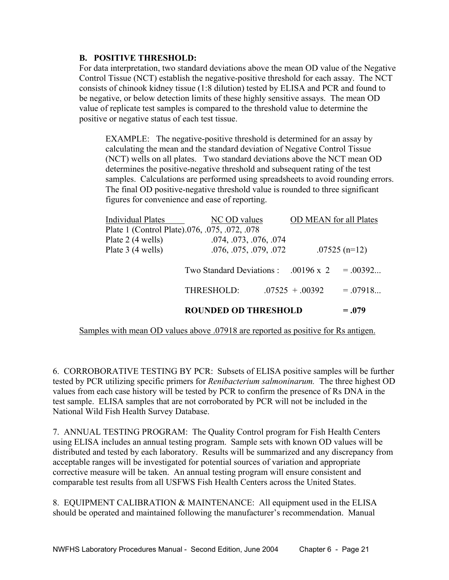#### **B. POSITIVE THRESHOLD:**

For data interpretation, two standard deviations above the mean OD value of the Negative Control Tissue (NCT) establish the negative-positive threshold for each assay. The NCT consists of chinook kidney tissue (1:8 dilution) tested by ELISA and PCR and found to be negative, or below detection limits of these highly sensitive assays. The mean OD value of replicate test samples is compared to the threshold value to determine the positive or negative status of each test tissue.

EXAMPLE: The negative-positive threshold is determined for an assay by calculating the mean and the standard deviation of Negative Control Tissue (NCT) wells on all plates. Two standard deviations above the NCT mean OD determines the positive-negative threshold and subsequent rating of the test samples. Calculations are performed using spreadsheets to avoid rounding errors. The final OD positive-negative threshold value is rounded to three significant figures for convenience and ease of reporting.

|                          | <b>ROUNDED OD THRESHOLD</b>                          |                   |                               | $= .079$   |
|--------------------------|------------------------------------------------------|-------------------|-------------------------------|------------|
|                          | THRESHOLD:                                           | $.07525 + .00392$ |                               | $= .07918$ |
|                          | Two Standard Deviations : $.00196 \times 2 = .00392$ |                   |                               |            |
| Plate 3 (4 wells)        | .076, .075, .079, .072                               |                   | $.07525$ (n=12)               |            |
| Plate 2 (4 wells)        | .074, .073, .076, .074                               |                   |                               |            |
|                          | Plate 1 (Control Plate).076, .075, .072, .078        |                   |                               |            |
| <b>Individual Plates</b> | NC OD values                                         |                   | <b>OD MEAN</b> for all Plates |            |

Samples with mean OD values above .07918 are reported as positive for Rs antigen.

6. CORROBORATIVE TESTING BY PCR: Subsets of ELISA positive samples will be further tested by PCR utilizing specific primers for *Renibacterium salmoninarum.* The three highest OD values from each case history will be tested by PCR to confirm the presence of Rs DNA in the test sample. ELISA samples that are not corroborated by PCR will not be included in the National Wild Fish Health Survey Database.

7. ANNUAL TESTING PROGRAM: The Quality Control program for Fish Health Centers using ELISA includes an annual testing program. Sample sets with known OD values will be distributed and tested by each laboratory. Results will be summarized and any discrepancy from acceptable ranges will be investigated for potential sources of variation and appropriate corrective measure will be taken. An annual testing program will ensure consistent and comparable test results from all USFWS Fish Health Centers across the United States.

8. EQUIPMENT CALIBRATION & MAINTENANCE: All equipment used in the ELISA should be operated and maintained following the manufacturer's recommendation. Manual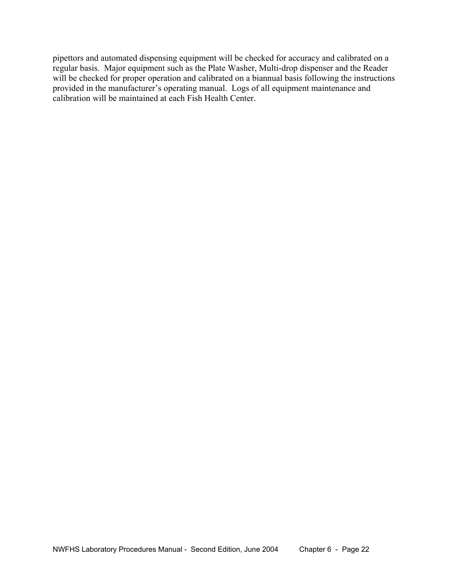pipettors and automated dispensing equipment will be checked for accuracy and calibrated on a regular basis. Major equipment such as the Plate Washer, Multi-drop dispenser and the Reader will be checked for proper operation and calibrated on a biannual basis following the instructions provided in the manufacturer's operating manual. Logs of all equipment maintenance and calibration will be maintained at each Fish Health Center.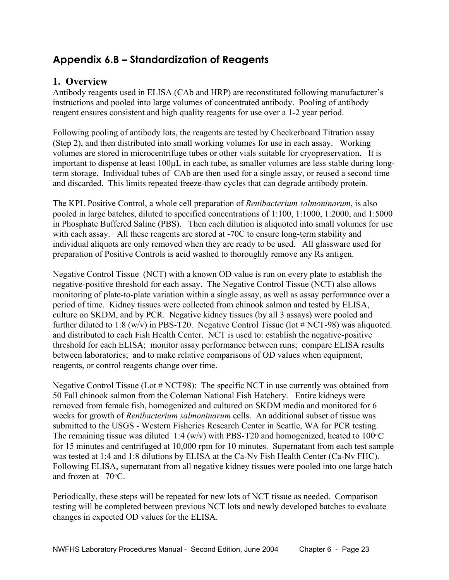## **Appendix 6.B – Standardization of Reagents**

## **1. Overview**

Antibody reagents used in ELISA (CAb and HRP) are reconstituted following manufacturer's instructions and pooled into large volumes of concentrated antibody. Pooling of antibody reagent ensures consistent and high quality reagents for use over a 1-2 year period.

Following pooling of antibody lots, the reagents are tested by Checkerboard Titration assay (Step 2), and then distributed into small working volumes for use in each assay. Working volumes are stored in microcentrifuge tubes or other vials suitable for cryopreservation. It is important to dispense at least 100µL in each tube, as smaller volumes are less stable during longterm storage. Individual tubes of CAb are then used for a single assay, or reused a second time and discarded. This limits repeated freeze-thaw cycles that can degrade antibody protein.

The KPL Positive Control, a whole cell preparation of *Renibacterium salmoninarum*, is also pooled in large batches, diluted to specified concentrations of 1:100, 1:1000, 1:2000, and 1:5000 in Phosphate Buffered Saline (PBS). Then each dilution is aliquoted into small volumes for use with each assay. All these reagents are stored at -70C to ensure long-term stability and individual aliquots are only removed when they are ready to be used. All glassware used for preparation of Positive Controls is acid washed to thoroughly remove any Rs antigen.

Negative Control Tissue (NCT) with a known OD value is run on every plate to establish the negative-positive threshold for each assay. The Negative Control Tissue (NCT) also allows monitoring of plate-to-plate variation within a single assay, as well as assay performance over a period of time. Kidney tissues were collected from chinook salmon and tested by ELISA, culture on SKDM, and by PCR. Negative kidney tissues (by all 3 assays) were pooled and further diluted to 1:8 (w/v) in PBS-T20. Negative Control Tissue (lot # NCT-98) was aliquoted. and distributed to each Fish Health Center. NCT is used to: establish the negative-positive threshold for each ELISA; monitor assay performance between runs; compare ELISA results between laboratories; and to make relative comparisons of OD values when equipment, reagents, or control reagents change over time.

Negative Control Tissue (Lot # NCT98): The specific NCT in use currently was obtained from 50 Fall chinook salmon from the Coleman National Fish Hatchery. Entire kidneys were removed from female fish, homogenized and cultured on SKDM media and monitored for 6 weeks for growth of *Renibacterium salmoninarum* cells. An additional subset of tissue was submitted to the USGS - Western Fisheries Research Center in Seattle, WA for PCR testing. The remaining tissue was diluted 1:4 (w/v) with PBS-T20 and homogenized, heated to  $100^{\circ}$ C for 15 minutes and centrifuged at 10,000 rpm for 10 minutes. Supernatant from each test sample was tested at 1:4 and 1:8 dilutions by ELISA at the Ca-Nv Fish Health Center (Ca-Nv FHC). Following ELISA, supernatant from all negative kidney tissues were pooled into one large batch and frozen at –70°C.

Periodically, these steps will be repeated for new lots of NCT tissue as needed. Comparison testing will be completed between previous NCT lots and newly developed batches to evaluate changes in expected OD values for the ELISA.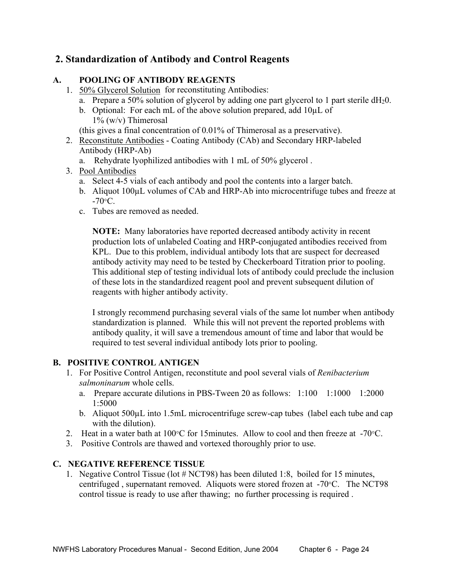## **2. Standardization of Antibody and Control Reagents**

#### **A. POOLING OF ANTIBODY REAGENTS**

- 1. 50% Glycerol Solution for reconstituting Antibodies:
	- a. Prepare a 50% solution of glycerol by adding one part glycerol to 1 part sterile  $dH_20$ .
	- b. Optional: For each mL of the above solution prepared, add 10µL of  $1\%$  (w/v) Thimerosal
	- (this gives a final concentration of 0.01% of Thimerosal as a preservative).
- 2. Reconstitute Antibodies Coating Antibody (CAb) and Secondary HRP-labeled Antibody (HRP-Ab)
	- a. Rehydrate lyophilized antibodies with 1 mL of 50% glycerol .
- 3. Pool Antibodies
	- a. Select 4-5 vials of each antibody and pool the contents into a larger batch.
	- b. Aliquot 100µL volumes of CAb and HRP-Ab into microcentrifuge tubes and freeze at  $-70\degree C$ .
	- c. Tubes are removed as needed.

 **NOTE:** Many laboratories have reported decreased antibody activity in recent production lots of unlabeled Coating and HRP-conjugated antibodies received from KPL. Due to this problem, individual antibody lots that are suspect for decreased antibody activity may need to be tested by Checkerboard Titration prior to pooling. This additional step of testing individual lots of antibody could preclude the inclusion of these lots in the standardized reagent pool and prevent subsequent dilution of reagents with higher antibody activity.

 I strongly recommend purchasing several vials of the same lot number when antibody standardization is planned. While this will not prevent the reported problems with antibody quality, it will save a tremendous amount of time and labor that would be required to test several individual antibody lots prior to pooling.

### **B. POSITIVE CONTROL ANTIGEN**

- 1. For Positive Control Antigen, reconstitute and pool several vials of *Renibacterium salmoninarum* whole cells.
	- a. Prepare accurate dilutions in PBS-Tween 20 as follows: 1:100 1:1000 1:2000 1:5000
	- b. Aliquot 500µL into 1.5mL microcentrifuge screw-cap tubes (label each tube and cap with the dilution).
- 2. Heat in a water bath at 100°C for 15minutes. Allow to cool and then freeze at -70°C.
- 3. Positive Controls are thawed and vortexed thoroughly prior to use.

#### **C. NEGATIVE REFERENCE TISSUE**

 1. Negative Control Tissue (lot # NCT98) has been diluted 1:8, boiled for 15 minutes, centrifuged , supernatant removed. Aliquots were stored frozen at -70°C. The NCT98 control tissue is ready to use after thawing; no further processing is required .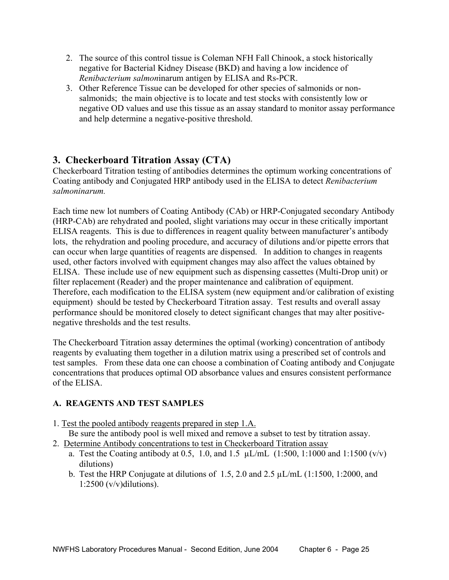- 2. The source of this control tissue is Coleman NFH Fall Chinook, a stock historically negative for Bacterial Kidney Disease (BKD) and having a low incidence of *Renibacterium salmon*inarum antigen by ELISA and Rs-PCR.
- 3. Other Reference Tissue can be developed for other species of salmonids or nonsalmonids; the main objective is to locate and test stocks with consistently low or negative OD values and use this tissue as an assay standard to monitor assay performance and help determine a negative-positive threshold.

## **3. Checkerboard Titration Assay (CTA)**

Checkerboard Titration testing of antibodies determines the optimum working concentrations of Coating antibody and Conjugated HRP antibody used in the ELISA to detect *Renibacterium salmoninarum.*

Each time new lot numbers of Coating Antibody (CAb) or HRP-Conjugated secondary Antibody (HRP-CAb) are rehydrated and pooled, slight variations may occur in these critically important ELISA reagents. This is due to differences in reagent quality between manufacturer's antibody lots, the rehydration and pooling procedure, and accuracy of dilutions and/or pipette errors that can occur when large quantities of reagents are dispensed. In addition to changes in reagents used, other factors involved with equipment changes may also affect the values obtained by ELISA. These include use of new equipment such as dispensing cassettes (Multi-Drop unit) or filter replacement (Reader) and the proper maintenance and calibration of equipment. Therefore, each modification to the ELISA system (new equipment and/or calibration of existing equipment) should be tested by Checkerboard Titration assay. Test results and overall assay performance should be monitored closely to detect significant changes that may alter positivenegative thresholds and the test results.

The Checkerboard Titration assay determines the optimal (working) concentration of antibody reagents by evaluating them together in a dilution matrix using a prescribed set of controls and test samples. From these data one can choose a combination of Coating antibody and Conjugate concentrations that produces optimal OD absorbance values and ensures consistent performance of the ELISA.

### **A. REAGENTS AND TEST SAMPLES**

- 1. Test the pooled antibody reagents prepared in step 1.A.
	- Be sure the antibody pool is well mixed and remove a subset to test by titration assay.
- 2. Determine Antibody concentrations to test in Checkerboard Titration assay
	- a. Test the Coating antibody at 0.5, 1.0, and 1.5  $\mu$ L/mL (1:500, 1:1000 and 1:1500 (v/v) dilutions)
	- b. Test the HRP Conjugate at dilutions of 1.5, 2.0 and 2.5 µL/mL (1:1500, 1:2000, and  $1:2500$  (v/v)dilutions).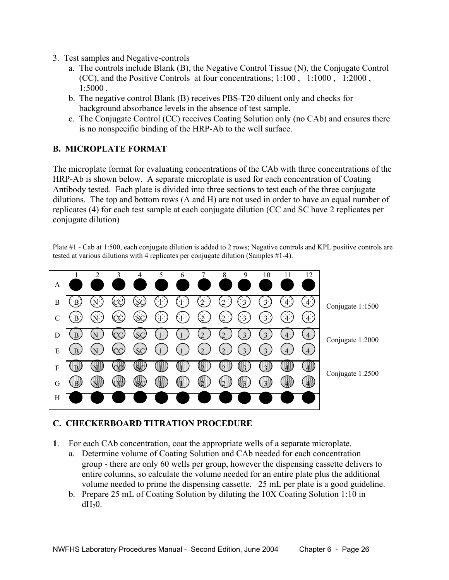- 3. Test samples and Negative-controls
	- a. The controls include Blank (B), the Negative Control Tissue (N), the Conjugate Control (CC), and the Positive Controls at four concentrations; 1:100 , 1:1000 , 1:2000 , 1:5000 .
	- b. The negative control Blank (B) receives PBS-T20 diluent only and checks for background absorbance levels in the absence of test sample.
	- c. The Conjugate Control (CC) receives Coating Solution only (no CAb) and ensures there is no nonspecific binding of the HRP-Ab to the well surface.

### **B. MICROPLATE FORMAT**

The microplate format for evaluating concentrations of the CAb with three concentrations of the HRP-Ab is shown below. A separate microplate is used for each concentration of Coating Antibody tested. Each plate is divided into three sections to test each of the three conjugate dilutions. The top and bottom rows (A and H) are not used in order to have an equal number of replicates (4) for each test sample at each conjugate dilution (CC and SC have 2 replicates per conjugate dilution)

Plate #1 - Cab at 1:500, each conjugate dilution is added to 2 rows; Negative controls and KPL positive controls are tested at various dilutions with 4 replicates per conjugate dilution (Samples #1-4).



#### **C. CHECKERBOARD TITRATION PROCEDURE**

- **1**. For each CAb concentration, coat the appropriate wells of a separate microplate.
	- a. Determine volume of Coating Solution and CAb needed for each concentration group - there are only 60 wells per group, however the dispensing cassette delivers to entire columns, so calculate the volume needed for an entire plate plus the additional volume needed to prime the dispensing cassette. 25 mL per plate is a good guideline.
	- b. Prepare 25 mL of Coating Solution by diluting the 10X Coating Solution 1:10 in  $dH<sub>2</sub>0$ .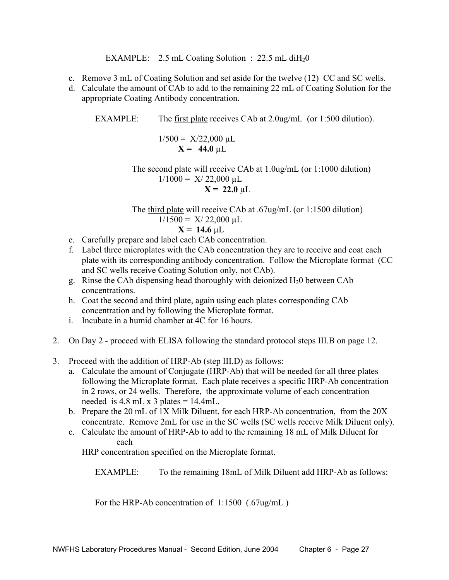EXAMPLE: 2.5 mL Coating Solution :  $22.5$  mL diH<sub>2</sub>0

- c. Remove 3 mL of Coating Solution and set aside for the twelve (12) CC and SC wells.
- d. Calculate the amount of CAb to add to the remaining 22 mL of Coating Solution for the appropriate Coating Antibody concentration.

EXAMPLE: The first plate receives CAb at 2.0ug/mL (or 1:500 dilution).

$$
1/500 = X/22,000 \text{ }\mu\text{L}
$$

$$
\mathbf{X} = 44.0 \text{ }\mu\text{L}
$$

 The second plate will receive CAb at 1.0ug/mL (or 1:1000 dilution)  $1/1000 = X/22,000 \mu L$  $X = 22.0 \mu L$ 

 The third plate will receive CAb at .67ug/mL (or 1:1500 dilution)  $1/1500 = X/22,000 \mu L$ 

$$
X = 14.6 \, \mu L
$$

- e. Carefully prepare and label each CAb concentration.
- f. Label three microplates with the CAb concentration they are to receive and coat each plate with its corresponding antibody concentration. Follow the Microplate format (CC and SC wells receive Coating Solution only, not CAb).
- g. Rinse the CAb dispensing head thoroughly with deionized  $H_2$ 0 between CAb concentrations.
- h. Coat the second and third plate, again using each plates corresponding CAb concentration and by following the Microplate format.
- i. Incubate in a humid chamber at 4C for 16 hours.
- 2. On Day 2 proceed with ELISA following the standard protocol steps III.B on page 12.
- 3. Proceed with the addition of HRP-Ab (step III.D) as follows:
	- a. Calculate the amount of Conjugate (HRP-Ab) that will be needed for all three plates following the Microplate format. Each plate receives a specific HRP-Ab concentration in 2 rows, or 24 wells. Therefore, the approximate volume of each concentration needed is  $4.8$  mL x  $3$  plates =  $14.4$ mL.
	- b. Prepare the 20 mL of 1X Milk Diluent, for each HRP-Ab concentration, from the 20X concentrate. Remove 2mL for use in the SC wells (SC wells receive Milk Diluent only).
	- c. Calculate the amount of HRP-Ab to add to the remaining 18 mL of Milk Diluent for each

HRP concentration specified on the Microplate format.

EXAMPLE: To the remaining 18mL of Milk Diluent add HRP-Ab as follows:

For the HRP-Ab concentration of 1:1500 (.67ug/mL)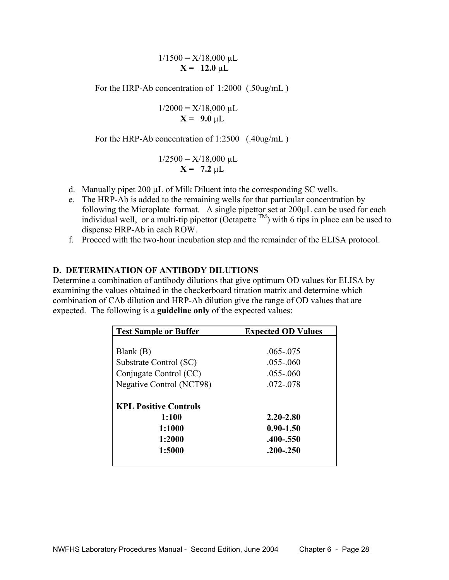$1/1500 = X/18,000 \mu L$  $X = 12.0 \mu L$ 

For the HRP-Ab concentration of 1:2000 (.50ug/mL)

$$
1/2000 = X/18,000 \text{ }\mu\text{L}
$$
  

$$
\mathbf{X} = 9.0 \text{ }\mu\text{L}
$$

For the HRP-Ab concentration of 1:2500 (.40ug/mL)

$$
1/2500 = X/18,000 \text{ }\mu\text{L}
$$

$$
\mathbf{X} = 7.2 \text{ }\mu\text{L}
$$

- d. Manually pipet 200 µL of Milk Diluent into the corresponding SC wells.
- e. The HRP-Ab is added to the remaining wells for that particular concentration by following the Microplate format. A single pipettor set at 200µL can be used for each individual well, or a multi-tip pipettor (Octapette  $^{TM}$ ) with 6 tips in place can be used to dispense HRP-Ab in each ROW.
- f. Proceed with the two-hour incubation step and the remainder of the ELISA protocol.

#### **D. DETERMINATION OF ANTIBODY DILUTIONS**

Determine a combination of antibody dilutions that give optimum OD values for ELISA by examining the values obtained in the checkerboard titration matrix and determine which combination of CAb dilution and HRP-Ab dilution give the range of OD values that are expected. The following is a **guideline only** of the expected values:

| <b>Test Sample or Buffer</b> | <b>Expected OD Values</b> |
|------------------------------|---------------------------|
|                              |                           |
| Blank $(B)$                  | $.065 - .075$             |
| Substrate Control (SC)       | $.055 - .060$             |
| Conjugate Control (CC)       | $.055 - .060$             |
| Negative Control (NCT98)     | 072-078                   |
|                              |                           |
| <b>KPL Positive Controls</b> |                           |
| 1:100                        | 2.20-2.80                 |
| 1:1000                       | $0.90 - 1.50$             |
| 1:2000                       | .400-.550                 |
| 1:5000                       | $.200 - .250$             |
|                              |                           |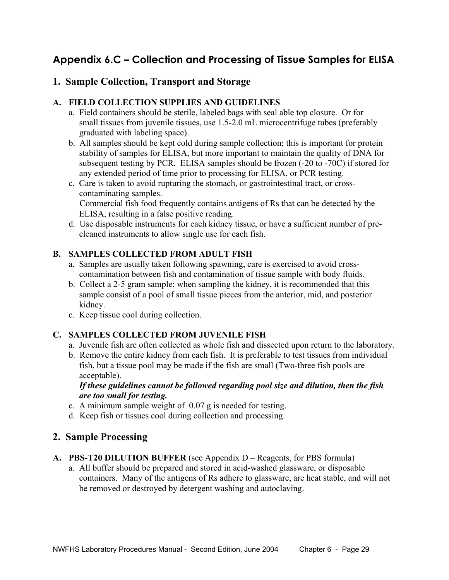## **Appendix 6.C – Collection and Processing of Tissue Samples for ELISA**

## **1. Sample Collection, Transport and Storage**

#### **A. FIELD COLLECTION SUPPLIES AND GUIDELINES**

- a. Field containers should be sterile, labeled bags with seal able top closure. Or for small tissues from juvenile tissues, use 1.5-2.0 mL microcentrifuge tubes (preferably graduated with labeling space).
- b. All samples should be kept cold during sample collection; this is important for protein stability of samples for ELISA, but more important to maintain the quality of DNA for subsequent testing by PCR. ELISA samples should be frozen (-20 to -70C) if stored for any extended period of time prior to processing for ELISA, or PCR testing.
- c. Care is taken to avoid rupturing the stomach, or gastrointestinal tract, or crosscontaminating samples. Commercial fish food frequently contains antigens of Rs that can be detected by the

ELISA, resulting in a false positive reading.

 d. Use disposable instruments for each kidney tissue, or have a sufficient number of precleaned instruments to allow single use for each fish.

#### **B. SAMPLES COLLECTED FROM ADULT FISH**

- a. Samples are usually taken following spawning, care is exercised to avoid crosscontamination between fish and contamination of tissue sample with body fluids.
- b. Collect a 2-5 gram sample; when sampling the kidney, it is recommended that this sample consist of a pool of small tissue pieces from the anterior, mid, and posterior kidney.
- c. Keep tissue cool during collection.

### **C. SAMPLES COLLECTED FROM JUVENILE FISH**

- a. Juvenile fish are often collected as whole fish and dissected upon return to the laboratory.
- b. Remove the entire kidney from each fish. It is preferable to test tissues from individual fish, but a tissue pool may be made if the fish are small (Two-three fish pools are acceptable).

 *If these guidelines cannot be followed regarding pool size and dilution, then the fish are too small for testing.*

- c. A minimum sample weight of 0.07 g is needed for testing.
- d. Keep fish or tissues cool during collection and processing.

## **2. Sample Processing**

- **A. PBS-T20 DILUTION BUFFER** (see Appendix D Reagents, for PBS formula)
	- a. All buffer should be prepared and stored in acid-washed glassware, or disposable containers. Many of the antigens of Rs adhere to glassware, are heat stable, and will not be removed or destroyed by detergent washing and autoclaving.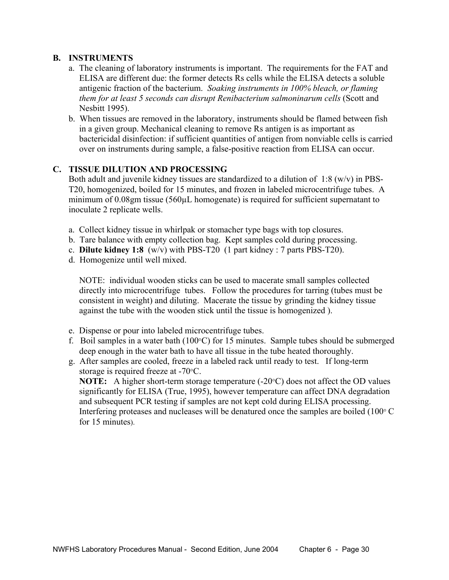#### **B. INSTRUMENTS**

- a. The cleaning of laboratory instruments is important. The requirements for the FAT and ELISA are different due: the former detects Rs cells while the ELISA detects a soluble antigenic fraction of the bacterium. *Soaking instruments in 100% bleach, or flaming them for at least 5 seconds can disrupt Renibacterium salmoninarum cells* (Scott and Nesbitt 1995).
- b. When tissues are removed in the laboratory, instruments should be flamed between fish in a given group. Mechanical cleaning to remove Rs antigen is as important as bactericidal disinfection: if sufficient quantities of antigen from nonviable cells is carried over on instruments during sample, a false-positive reaction from ELISA can occur.

#### **C. TISSUE DILUTION AND PROCESSING**

Both adult and juvenile kidney tissues are standardized to a dilution of  $1:8 \text{ (w/v)}$  in PBS- T20, homogenized, boiled for 15 minutes, and frozen in labeled microcentrifuge tubes. A minimum of 0.08gm tissue (560µL homogenate) is required for sufficient supernatant to inoculate 2 replicate wells.

- a. Collect kidney tissue in whirlpak or stomacher type bags with top closures.
- b. Tare balance with empty collection bag. Kept samples cold during processing.
- c. **Dilute kidney 1:8** (w/v) with PBS-T20 (1 part kidney : 7 parts PBS-T20).
- d. Homogenize until well mixed.

NOTE: individual wooden sticks can be used to macerate small samples collected directly into microcentrifuge tubes. Follow the procedures for tarring (tubes must be consistent in weight) and diluting. Macerate the tissue by grinding the kidney tissue against the tube with the wooden stick until the tissue is homogenized ).

- e. Dispense or pour into labeled microcentrifuge tubes.
- f. Boil samples in a water bath (100°C) for 15 minutes. Sample tubes should be submerged deep enough in the water bath to have all tissue in the tube heated thoroughly.
- g. After samples are cooled, freeze in a labeled rack until ready to test. If long-term storage is required freeze at -70°C.

**NOTE:** A higher short-term storage temperature (-20°C) does not affect the OD values significantly for ELISA (True, 1995), however temperature can affect DNA degradation and subsequent PCR testing if samples are not kept cold during ELISA processing. Interfering proteases and nucleases will be denatured once the samples are boiled (100° C for 15 minutes).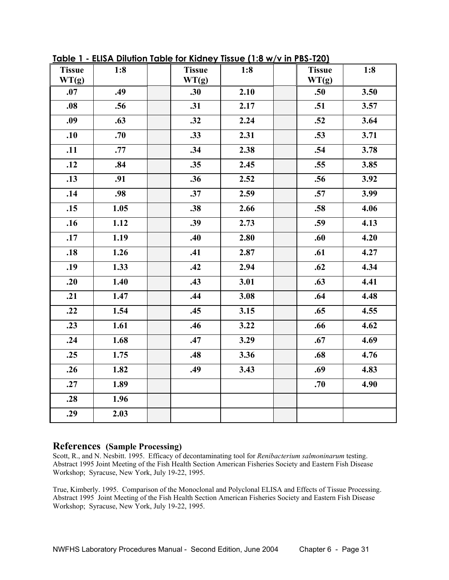| <b>Tissue</b> | 1:8  | <b>Tissue</b> | 1:8  | <b>Tissue</b> | 1:8  |
|---------------|------|---------------|------|---------------|------|
| WT(g)         |      | WT(g)         |      | WT(g)         |      |
| .07           | .49  | .30           | 2.10 | .50           | 3.50 |
| .08           | .56  | .31           | 2.17 | .51           | 3.57 |
| .09           | .63  | .32           | 2.24 | .52           | 3.64 |
| .10           | .70  | .33           | 2.31 | .53           | 3.71 |
| .11           | .77  | .34           | 2.38 | .54           | 3.78 |
| .12           | .84  | .35           | 2.45 | .55           | 3.85 |
| .13           | .91  | .36           | 2.52 | .56           | 3.92 |
| .14           | .98  | .37           | 2.59 | .57           | 3.99 |
| .15           | 1.05 | .38           | 2.66 | .58           | 4.06 |
| .16           | 1.12 | .39           | 2.73 | .59           | 4.13 |
| .17           | 1.19 | .40           | 2.80 | .60           | 4.20 |
| .18           | 1.26 | .41           | 2.87 | .61           | 4.27 |
| .19           | 1.33 | .42           | 2.94 | .62           | 4.34 |
| .20           | 1.40 | .43           | 3.01 | .63           | 4.41 |
| .21           | 1.47 | .44           | 3.08 | .64           | 4.48 |
| .22           | 1.54 | .45           | 3.15 | .65           | 4.55 |
| .23           | 1.61 | .46           | 3.22 | .66           | 4.62 |
| .24           | 1.68 | .47           | 3.29 | .67           | 4.69 |
| .25           | 1.75 | .48           | 3.36 | .68           | 4.76 |
| .26           | 1.82 | .49           | 3.43 | .69           | 4.83 |
| .27           | 1.89 |               |      | .70           | 4.90 |
| .28           | 1.96 |               |      |               |      |
| .29           | 2.03 |               |      |               |      |

**Table 1 - ELISA Dilution Table for Kidney Tissue (1:8 w/v in PBS-T20)**

#### **References (Sample Processing)**

Scott, R., and N. Nesbitt. 1995. Efficacy of decontaminating tool for *Renibacterium salmoninarum* testing. Abstract 1995 Joint Meeting of the Fish Health Section American Fisheries Society and Eastern Fish Disease Workshop; Syracuse, New York, July 19-22, 1995.

True, Kimberly. 1995. Comparison of the Monoclonal and Polyclonal ELISA and Effects of Tissue Processing. Abstract 1995 Joint Meeting of the Fish Health Section American Fisheries Society and Eastern Fish Disease Workshop; Syracuse, New York, July 19-22, 1995.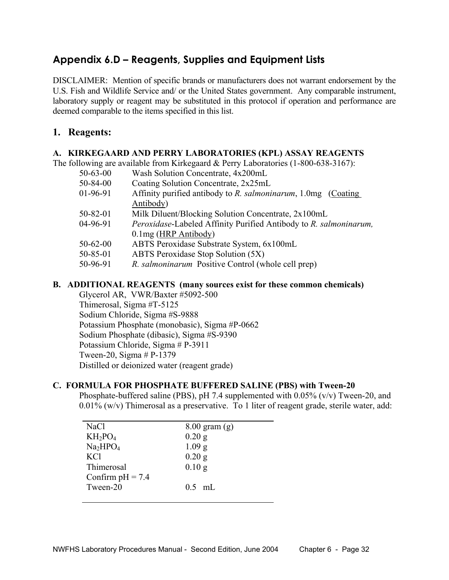## **Appendix 6.D – Reagents, Supplies and Equipment Lists**

DISCLAIMER: Mention of specific brands or manufacturers does not warrant endorsement by the U.S. Fish and Wildlife Service and/ or the United States government. Any comparable instrument, laboratory supply or reagent may be substituted in this protocol if operation and performance are deemed comparable to the items specified in this list.

## **1. Reagents:**

#### **A. KIRKEGAARD AND PERRY LABORATORIES (KPL) ASSAY REAGENTS**

The following are available from Kirkegaard & Perry Laboratories (1-800-638-3167):

- 50-63-00 Wash Solution Concentrate, 4x200mL
- 50-84-00 Coating Solution Concentrate, 2x25mL
- 01-96-91 Affinity purified antibody to *R. salmoninarum*, 1.0mg (Coating Antibody)
- 50-82-01 Milk Diluent/Blocking Solution Concentrate, 2x100mL
- 04-96-91 *Peroxidase*-Labeled Affinity Purified Antibody to *R. salmoninarum,* 0.1mg (HRP Antibody)
- 50-62-00 ABTS Peroxidase Substrate System, 6x100mL
- 50-85-01 ABTS Peroxidase Stop Solution (5X)
- 50-96-91 *R. salmoninarum* Positive Control (whole cell prep)

#### **B. ADDITIONAL REAGENTS (many sources exist for these common chemicals)**

 Glycerol AR, VWR/Baxter #5092-500 Thimerosal, Sigma #T-5125 Sodium Chloride, Sigma #S-9888 Potassium Phosphate (monobasic), Sigma #P-0662 Sodium Phosphate (dibasic), Sigma #S-9390 Potassium Chloride, Sigma # P-3911 Tween-20, Sigma # P-1379 Distilled or deionized water (reagent grade)

#### **C. FORMULA FOR PHOSPHATE BUFFERED SALINE (PBS) with Tween-20**

 Phosphate-buffered saline (PBS), pH 7.4 supplemented with 0.05% (v/v) Tween-20, and 0.01% (w/v) Thimerosal as a preservative. To 1 liter of reagent grade, sterile water, add:

| <b>NaCl</b>                      | $8.00$ gram $(g)$ |
|----------------------------------|-------------------|
| $KH_2PO_4$                       | $0.20$ g          |
| Na <sub>2</sub> HPO <sub>4</sub> | 1.09 g            |
| <b>KCl</b>                       | $0.20$ g          |
| Thimerosal                       | $0.10$ g          |
| Confirm $pH = 7.4$               |                   |
| Tween-20                         | $0.5$ mL          |
|                                  |                   |